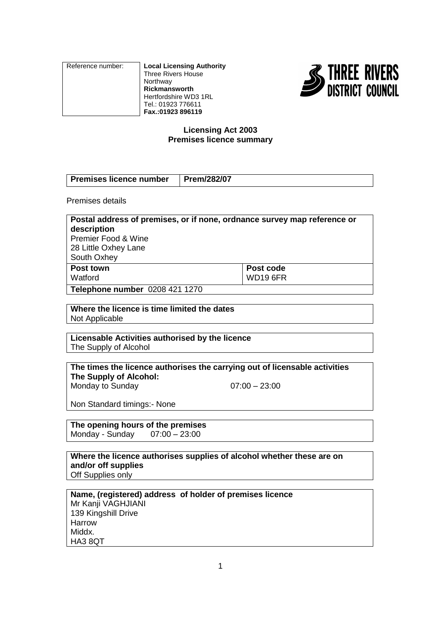| Reference number: | <b>Local Licensing Authority</b><br>Three Rivers House<br>Northway<br>Rickmansworth |
|-------------------|-------------------------------------------------------------------------------------|
|                   | Hertfordshire WD3 1RL<br>Tel.: 01923 776611                                         |
|                   | Fax.: 01923 896119                                                                  |



## **Licensing Act 2003 Premises licence summary**

| <b>Premises licence number</b> | Prem/282/07 |
|--------------------------------|-------------|
|                                |             |

Premises details

| Postal address of premises, or if none, ordnance survey map reference or<br>description<br><b>Premier Food &amp; Wine</b> |                 |  |  |
|---------------------------------------------------------------------------------------------------------------------------|-----------------|--|--|
|                                                                                                                           |                 |  |  |
| South Oxhey                                                                                                               |                 |  |  |
| <b>Post town</b>                                                                                                          | Post code       |  |  |
| Watford                                                                                                                   | <b>WD19 6FR</b> |  |  |
| Telephone number 0208 421 1270                                                                                            |                 |  |  |

**Where the licence is time limited the dates** Not Applicable

**Licensable Activities authorised by the licence** The Supply of Alcohol

**The times the licence authorises the carrying out of licensable activities The Supply of Alcohol:**

Monday to Sunday  $07:00 - 23:00$ 

Non Standard timings:- None

**The opening hours of the premises**<br>Monday - Sunday 07:00 - 23:00 Monday - Sunday

**Where the licence authorises supplies of alcohol whether these are on and/or off supplies** Off Supplies only

**Name, (registered) address of holder of premises licence** Mr Kanji VAGHJIANI 139 Kingshill Drive Harrow Middx. HA3 8QT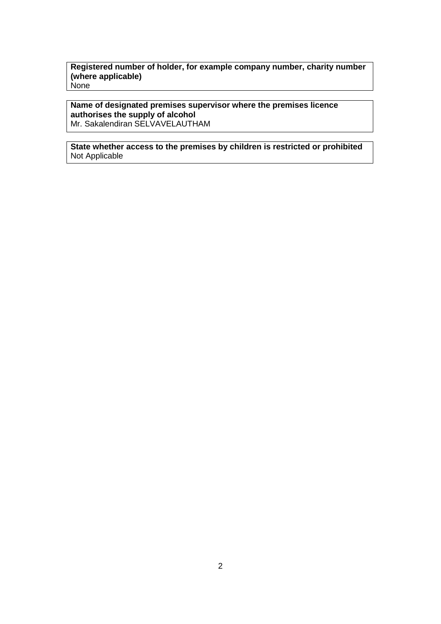#### **Registered number of holder, for example company number, charity number (where applicable) None**

## **Name of designated premises supervisor where the premises licence authorises the supply of alcohol**

Mr. Sakalendiran SELVAVELAUTHAM

## **State whether access to the premises by children is restricted or prohibited** Not Applicable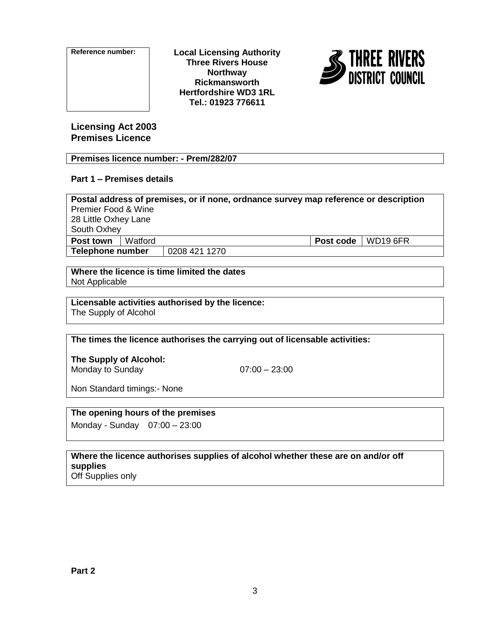

**Reference number: Local Licensing Authority Three Rivers House Northway Rickmansworth Hertfordshire WD3 1RL Tel.: 01923 776611**



**Licensing Act 2003 Premises Licence**

## **Premises licence number: - Prem/282/07**

## **Part 1 – Premises details**

| Postal address of premises, or if none, ordnance survey map reference or description |         |               |  |                             |  |
|--------------------------------------------------------------------------------------|---------|---------------|--|-----------------------------|--|
| <b>Premier Food &amp; Wine</b>                                                       |         |               |  |                             |  |
| 28 Little Oxhey Lane                                                                 |         |               |  |                             |  |
| South Oxhey                                                                          |         |               |  |                             |  |
| Post town                                                                            | Watford |               |  | <b>Post code</b>   WD19 6FR |  |
| Telephone number                                                                     |         | 0208 421 1270 |  |                             |  |
|                                                                                      |         |               |  |                             |  |

#### **Where the licence is time limited the dates** Not Applicable

# **Licensable activities authorised by the licence:**

The Supply of Alcohol

## **The times the licence authorises the carrying out of licensable activities:**

**The Supply of Alcohol:** Monday to Sunday  $07:00 - 23:00$ 

Non Standard timings:- None

## **The opening hours of the premises**

Monday - Sunday 07:00 – 23:00

#### **Where the licence authorises supplies of alcohol whether these are on and/or off supplies** Off Supplies only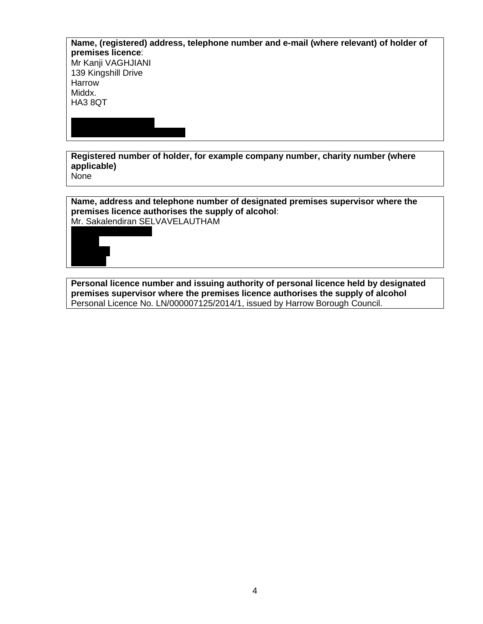| Name, (registered) address, telephone number and e-mail (where relevant) of holder of<br>premises licence: |
|------------------------------------------------------------------------------------------------------------|
| Mr Kanji VAGHJIANI                                                                                         |
| 139 Kingshill Drive                                                                                        |
| Harrow                                                                                                     |
| Middx.                                                                                                     |
|                                                                                                            |
|                                                                                                            |
|                                                                                                            |
|                                                                                                            |
| HA3 8QT                                                                                                    |

**Registered number of holder, for example company number, charity number (where applicable)** None

**Name, address and telephone number of designated premises supervisor where the premises licence authorises the supply of alcohol**: Mr. Sakalendiran SELVAVELAUTHAM

**Personal licence number and issuing authority of personal licence held by designated premises supervisor where the premises licence authorises the supply of alcohol** Personal Licence No. LN/000007125/2014/1, issued by Harrow Borough Council.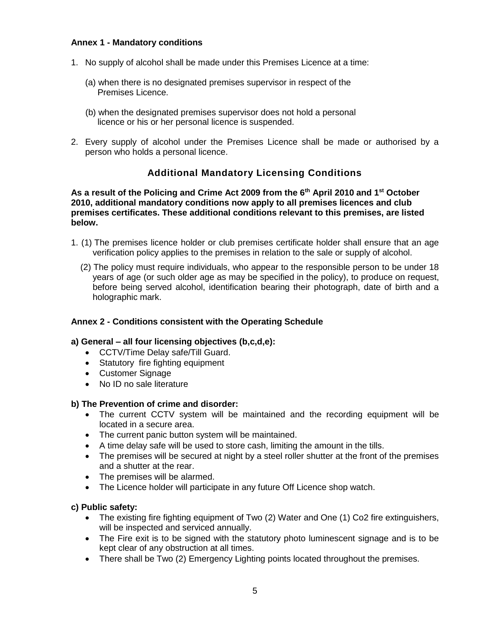## **Annex 1 - Mandatory conditions**

- 1. No supply of alcohol shall be made under this Premises Licence at a time:
	- (a) when there is no designated premises supervisor in respect of the Premises Licence.
	- (b) when the designated premises supervisor does not hold a personal licence or his or her personal licence is suspended.
- 2. Every supply of alcohol under the Premises Licence shall be made or authorised by a person who holds a personal licence.

## **Additional Mandatory Licensing Conditions**

**As a result of the Policing and Crime Act 2009 from the 6th April 2010 and 1st October 2010, additional mandatory conditions now apply to all premises licences and club premises certificates. These additional conditions relevant to this premises, are listed below.** 

- 1. (1) The premises licence holder or club premises certificate holder shall ensure that an age verification policy applies to the premises in relation to the sale or supply of alcohol.
	- (2) The policy must require individuals, who appear to the responsible person to be under 18 years of age (or such older age as may be specified in the policy), to produce on request, before being served alcohol, identification bearing their photograph, date of birth and a holographic mark.

## **Annex 2 - Conditions consistent with the Operating Schedule**

#### **a) General – all four licensing objectives (b,c,d,e):**

- CCTV/Time Delay safe/Till Guard.
- Statutory fire fighting equipment
- Customer Signage
- No ID no sale literature

#### **b) The Prevention of crime and disorder:**

- The current CCTV system will be maintained and the recording equipment will be located in a secure area.
- The current panic button system will be maintained.
- A time delay safe will be used to store cash, limiting the amount in the tills.
- The premises will be secured at night by a steel roller shutter at the front of the premises and a shutter at the rear.
- The premises will be alarmed.
- The Licence holder will participate in any future Off Licence shop watch.

#### **c) Public safety:**

- The existing fire fighting equipment of Two (2) Water and One (1) Co2 fire extinguishers, will be inspected and serviced annually.
- The Fire exit is to be signed with the statutory photo luminescent signage and is to be kept clear of any obstruction at all times.
- There shall be Two (2) Emergency Lighting points located throughout the premises.